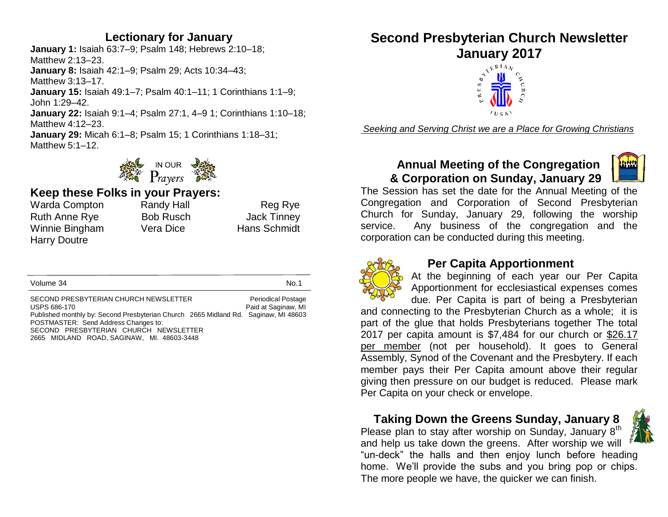#### **Lectionary for January**

**January 1:** Isaiah 63:7–9; Psalm 148; Hebrews 2:10–18; Matthew 2:13–23. **January 8:** Isaiah 42:1–9; Psalm 29; Acts 10:34–43; Matthew 3:13–17. **January 15:** Isaiah 49:1–7; Psalm 40:1–11; 1 Corinthians 1:1–9; John 1:29–42. **January 22:** Isaiah 9:1–4; Psalm 27:1, 4–9 1; Corinthians 1:10–18; Matthew 4:12–23. **January 29:** Micah 6:1–8; Psalm 15; 1 Corinthians 1:18–31; Matthew 5:1–12.



#### **Keep these Folks in your Prayers:**

Warda Compton Randy Hall Reg Rye Ruth Anne Rye Bob Rusch Box Jack Tinney Winnie Bingham Vera Dice Hans Schmidt Harry Doutre

Volume 34 No.1

SECOND PRESBYTERIAN CHURCH NEWSLETTER Periodical Postage USPS 686-170 **Paid at Saginaw, MI Paid at Saginaw, MI** Published monthly by: Second Presbyterian Church 2665 Midland Rd. Saginaw, MI 48603 POSTMASTER: Send Address Changes to: SECOND PRESBYTERIAN CHURCH NEWSLETTER 2665 MIDLAND ROAD, SAGINAW, MI. 48603-3448

## **Second Presbyterian Church Newsletter January 2017**



*Seeking and Serving Christ we are a Place for Growing Christians*

#### **Annual Meeting of the Congregation & Corporation on Sunday, January 29**



The Session has set the date for the Annual Meeting of the Congregation and Corporation of Second Presbyterian Church for Sunday, January 29, following the worship service. Any business of the congregation and the corporation can be conducted during this meeting.



#### **Per Capita Apportionment**

At the beginning of each year our Per Capita Apportionment for ecclesiastical expenses comes due. Per Capita is part of being a Presbyterian

and connecting to the Presbyterian Church as a whole; it is part of the glue that holds Presbyterians together The total 2017 per capita amount is \$7,484 for our church or \$26.17 per member (not per household). It goes to General Assembly, Synod of the Covenant and the Presbytery. If each member pays their Per Capita amount above their regular giving then pressure on our budget is reduced. Please mark Per Capita on your check or envelope.

 **Taking Down the Greens Sunday, January 8**

Please plan to stay after worship on Sunday, January 8<sup>th</sup> and help us take down the greens. After worship we will "un-deck" the halls and then enjoy lunch before heading home. We'll provide the subs and you bring pop or chips. The more people we have, the quicker we can finish.

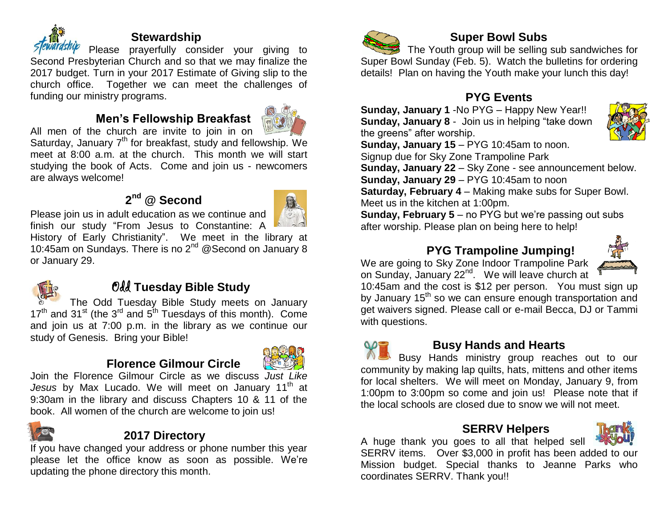

#### **Stewardship**

Please prayerfully consider your giving to Second Presbyterian Church and so that we may finalize the 2017 budget. Turn in your 2017 Estimate of Giving slip to the church office. Together we can meet the challenges of funding our ministry programs.

#### **Men's Fellowship Breakfast**



All men of the church are invite to join in on Saturday, January 7<sup>th</sup> for breakfast, study and fellowship. We meet at 8:00 a.m. at the church. This month we will start studying the book of Acts. Come and join us - newcomers are always welcome!

#### **2 nd @ Second**



Please join us in adult education as we continue and

finish our study "From Jesus to Constantine: A History of Early Christianity". We meet in the library at 10:45am on Sundays. There is no 2<sup>nd</sup> @ Second on January 8 or January 29.



#### Odd **Tuesday Bible Study**

The Odd Tuesday Bible Study meets on January  $17<sup>th</sup>$  and 31<sup>st</sup> (the 3<sup>rd</sup> and 5<sup>th</sup> Tuesdays of this month). Come and join us at 7:00 p.m. in the library as we continue our study of Genesis. Bring your Bible!

#### **Florence Gilmour Circle**



Join the Florence Gilmour Circle as we discuss *Just Like*  Jesus by Max Lucado. We will meet on January 11<sup>th</sup> at 9:30am in the library and discuss Chapters 10 & 11 of the book. All women of the church are welcome to join us!



#### **2017 Directory**

If you have changed your address or phone number this year please let the office know as soon as possible. We're updating the phone directory this month.



#### **Super Bowl Subs**

The Youth group will be selling sub sandwiches for Super Bowl Sunday (Feb. 5).Watch the bulletins for ordering details! Plan on having the Youth make your lunch this day!

#### **PYG Events**

**Sunday, January 1** -No PYG – Happy New Year!! **Sunday, January 8** - Join us in helping "take down the greens" after worship.



**Sunday, January 15** – PYG 10:45am to noon.

Signup due for Sky Zone Trampoline Park

**Sunday, January 22** – Sky Zone - see announcement below. **Sunday, January 29** – PYG 10:45am to noon

**Saturday, February 4** – Making make subs for Super Bowl. Meet us in the kitchen at 1:00pm.

**Sunday, February 5** – no PYG but we're passing out subs after worship. Please plan on being here to help!

#### **PYG Trampoline Jumping!**

We are going to Sky Zone Indoor Trampoline Park on Sunday, January 22<sup>nd</sup>. We will leave church at



10:45am and the cost is \$12 per person. You must sign up by January 15<sup>th</sup> so we can ensure enough transportation and get waivers signed. Please call or e-mail Becca, DJ or Tammi with questions.

#### **Busy Hands and Hearts**

Busy Hands ministry group reaches out to our community by making lap quilts, hats, mittens and other items for local shelters. We will meet on Monday, January 9, from 1:00pm to 3:00pm so come and join us! Please note that if the local schools are closed due to snow we will not meet.

#### **SERRV Helpers**



A huge thank you goes to all that helped sell SERRV items. Over \$3,000 in profit has been added to our Mission budget. Special thanks to Jeanne Parks who coordinates SERRV. Thank you!!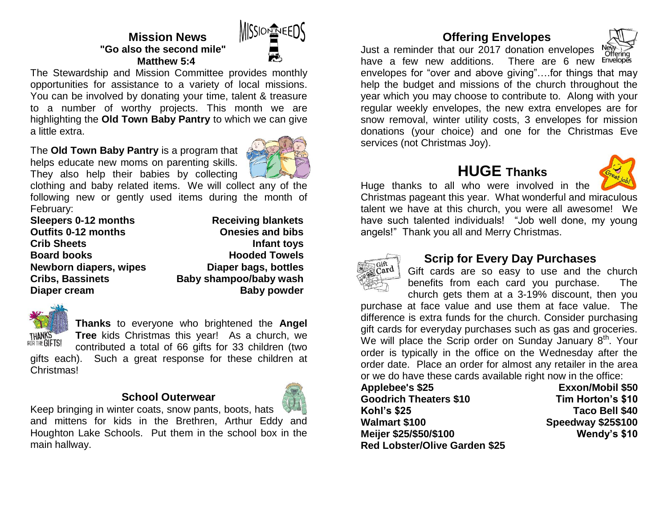

#### **Mission News "Go also the second mile" Matthew 5:4**

The Stewardship and Mission Committee provides monthly opportunities for assistance to a variety of local missions. You can be involved by donating your time, talent & treasure to a number of worthy projects. This month we are highlighting the **Old Town Baby Pantry** to which we can give a little extra. 

The **Old Town Baby Pantry** is a program that helps educate new moms on parenting skills. They also help their babies by collecting



clothing and baby related items. We will collect any of the following new or gently used items during the month of February:

| Sleepers 0-12 months       | <b>Receiving blankets</b> |
|----------------------------|---------------------------|
| <b>Outfits 0-12 months</b> | <b>Onesies and bibs</b>   |
| <b>Crib Sheets</b>         | Infant toys               |
| <b>Board books</b>         | <b>Hooded Towels</b>      |
| Newborn diapers, wipes     | Diaper bags, bottles      |
| <b>Cribs, Bassinets</b>    | Baby shampoo/baby wash    |
| Diaper cream               | <b>Baby powder</b>        |



**Thanks** to everyone who brightened the **Angel Tree** kids Christmas this year! As a church, we

contributed a total of 66 gifts for 33 children (two gifts each). Such a great response for these children at Christmas!

#### **School Outerwear**



Keep bringing in winter coats, snow pants, boots, hats and mittens for kids in the Brethren, Arthur Eddy and Houghton Lake Schools. Put them in the school box in the main hallway.

#### **Offering Envelopes**

Just a reminder that our 2017 donation envelopes M



have a few new additions. There are 6 new Envelopes envelopes for "over and above giving"….for things that may help the budget and missions of the church throughout the year which you may choose to contribute to. Along with your regular weekly envelopes, the new extra envelopes are for snow removal, winter utility costs, 3 envelopes for mission donations (your choice) and one for the Christmas Eve services (not Christmas Joy).

### **HUGE Thanks**



Huge thanks to all who were involved in the Christmas pageant this year. What wonderful and miraculous talent we have at this church, you were all awesome! We have such talented individuals! "Job well done, my young angels!" Thank you all and Merry Christmas.



#### **Scrip for Every Day Purchases**

Gift cards are so easy to use and the church benefits from each card you purchase. The church gets them at a 3-19% discount, then you

purchase at face value and use them at face value. The difference is extra funds for the church. Consider purchasing gift cards for everyday purchases such as gas and groceries. We will place the Scrip order on Sunday January  $8<sup>th</sup>$ . Your order is typically in the office on the Wednesday after the order date. Place an order for almost any retailer in the area or we do have these cards available right now in the office:

**Applebee's \$25 Exxon/Mobil \$50 Goodrich Theaters \$10 Tim Horton's \$10 Kohl's \$25 Taco Bell \$40 Walmart \$100 Speedway \$25\$100 Meijer \$25/\$50/\$100 Wendy's \$10 Red Lobster/Olive Garden \$25**